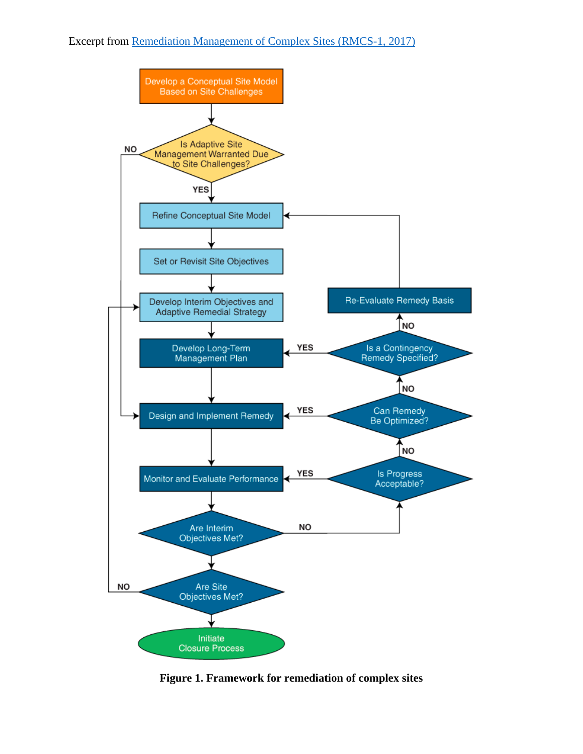

**Figure 1. Framework for remediation of complex sites**